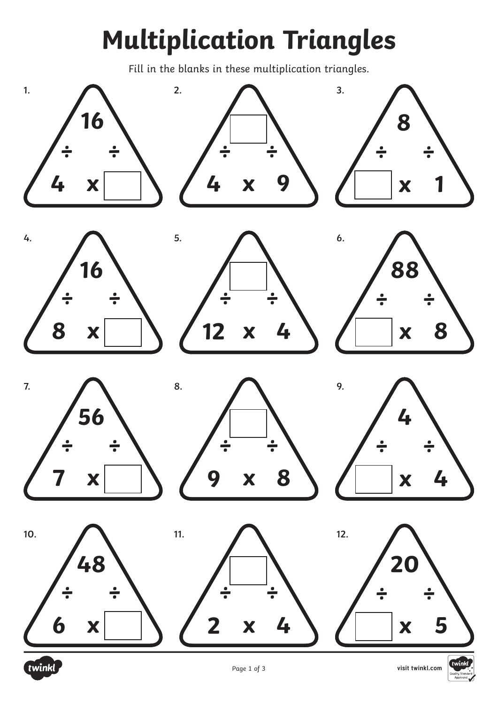## **Multiplication Triangles**

Fill in the blanks in these multiplication triangles.



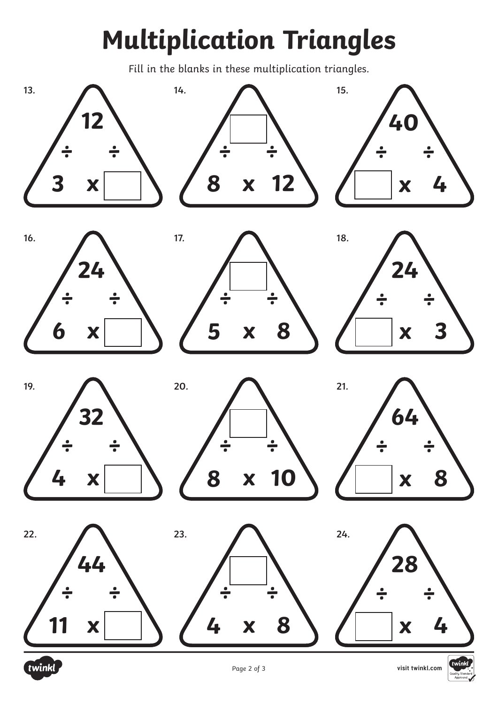## **Multiplication Triangles**

Fill in the blanks in these multiplication triangles.